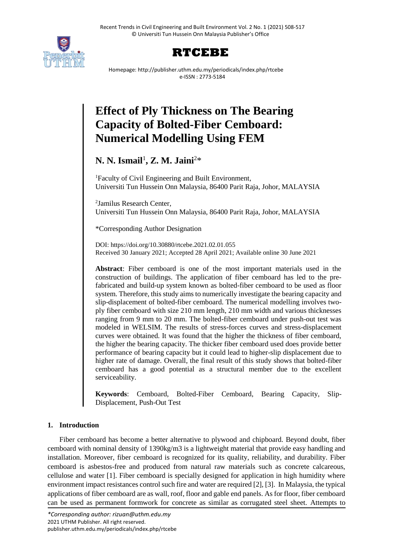



Homepage: http://publisher.uthm.edu.my/periodicals/index.php/rtcebe e-ISSN : 2773-5184

# **Effect of Ply Thickness on The Bearing Capacity of Bolted-Fiber Cemboard: Numerical Modelling Using FEM**

## **N. N. Ismail**<sup>1</sup> **, Z. M. Jaini**<sup>2</sup>\*

<sup>1</sup>Faculty of Civil Engineering and Built Environment, Universiti Tun Hussein Onn Malaysia, 86400 Parit Raja, Johor, MALAYSIA

2 Jamilus Research Center, Universiti Tun Hussein Onn Malaysia, 86400 Parit Raja, Johor, MALAYSIA

\*Corresponding Author Designation

DOI: https://doi.org/10.30880/rtcebe.2021.02.01.055 Received 30 January 2021; Accepted 28 April 2021; Available online 30 June 2021

**Abstract**: Fiber cemboard is one of the most important materials used in the construction of buildings. The application of fiber cemboard has led to the prefabricated and build-up system known as bolted-fiber cemboard to be used as floor system. Therefore, this study aims to numerically investigate the bearing capacity and slip-displacement of bolted-fiber cemboard. The numerical modelling involves twoply fiber cemboard with size 210 mm length, 210 mm width and various thicknesses ranging from 9 mm to 20 mm. The bolted-fiber cemboard under push-out test was modeled in WELSIM. The results of stress-forces curves and stress-displacement curves were obtained. It was found that the higher the thickness of fiber cemboard, the higher the bearing capacity. The thicker fiber cemboard used does provide better performance of bearing capacity but it could lead to higher-slip displacement due to higher rate of damage. Overall, the final result of this study shows that bolted-fiber cemboard has a good potential as a structural member due to the excellent serviceability.

**Keywords**: Cemboard, Bolted-Fiber Cemboard, Bearing Capacity, Slip-Displacement, Push-Out Test

### **1. Introduction**

Fiber cemboard has become a better alternative to plywood and chipboard. Beyond doubt, fiber cemboard with nominal density of 1390kg/m3 is a lightweight material that provide easy handling and installation. Moreover, fiber cemboard is recognized for its quality, reliability, and durability. Fiber cemboard is asbestos-free and produced from natural raw materials such as concrete calcareous, cellulose and water [1]. Fiber cemboard is specially designed for application in high humidity where environment impact resistances control such fire and water are required [2], [3]. In Malaysia, the typical applications of fiber cemboard are as wall, roof, floor and gable end panels. As for floor, fiber cemboard can be used as permanent formwork for concrete as similar as corrugated steel sheet. Attempts to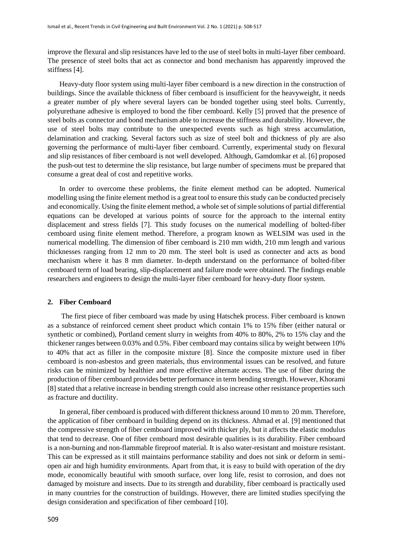improve the flexural and slip resistances have led to the use of steel bolts in multi-layer fiber cemboard. The presence of steel bolts that act as connector and bond mechanism has apparently improved the stiffness [4].

Heavy-duty floor system using multi-layer fiber cemboard is a new direction in the construction of buildings. Since the available thickness of fiber cemboard is insufficient for the heavyweight, it needs a greater number of ply where several layers can be bonded together using steel bolts. Currently, polyurethane adhesive is employed to bond the fiber cemboard. Kelly [5] proved that the presence of steel bolts as connector and bond mechanism able to increase the stiffness and durability. However, the use of steel bolts may contribute to the unexpected events such as high stress accumulation, delamination and cracking. Several factors such as size of steel bolt and thickness of ply are also governing the performance of multi-layer fiber cemboard. Currently, experimental study on flexural and slip resistances of fiber cemboard is not well developed. Although, Gamdomkar et al. [6] proposed the push-out test to determine the slip resistance, but large number of specimens must be prepared that consume a great deal of cost and repetitive works.

In order to overcome these problems, the finite element method can be adopted. Numerical modelling using the finite element method is a great tool to ensure this study can be conducted precisely and economically. Using the finite element method, a whole set of simple solutions of partial differential equations can be developed at various points of source for the approach to the internal entity displacement and stress fields [7]. This study focuses on the numerical modelling of bolted-fiber cemboard using finite element method. Therefore, a program known as WELSIM was used in the numerical modelling. The dimension of fiber cemboard is 210 mm width, 210 mm length and various thicknesses ranging from 12 mm to 20 mm. The steel bolt is used as connecter and acts as bond mechanism where it has 8 mm diameter. In-depth understand on the performance of bolted-fiber cemboard term of load bearing, slip-displacement and failure mode were obtained. The findings enable researchers and engineers to design the multi-layer fiber cemboard for heavy-duty floor system.

#### **2. Fiber Cemboard**

The first piece of fiber cemboard was made by using Hatschek process. Fiber cemboard is known as a substance of reinforced cement sheet product which contain 1% to 15% fiber (either natural or synthetic or combined), Portland cement slurry in weights from 40% to 80%, 2% to 15% clay and the thickener ranges between 0.03% and 0.5%. Fiber cemboard may contains silica by weight between 10% to 40% that act as filler in the composite mixture [8]. Since the composite mixture used in fiber cemboard is non-asbestos and green materials, thus environmental issues can be resolved, and future risks can be minimized by healthier and more effective alternate access. The use of fiber during the production of fiber cemboard provides better performance in term bending strength. However, Khorami [8] stated that a relative increase in bending strength could also increase other resistance properties such as fracture and ductility.

In general, fiber cemboard is produced with different thickness around 10 mm to 20 mm. Therefore, the application of fiber cemboard in building depend on its thickness. Ahmad et al. [9] mentioned that the compressive strength of fiber cemboard improved with thicker ply, but it affects the elastic modulus that tend to decrease. One of fiber cemboard most desirable qualities is its durability. Fiber cemboard is a non-burning and non-flammable fireproof material. It is also water-resistant and moisture resistant. This can be expressed as it still maintains performance stability and does not sink or deform in semiopen air and high humidity environments. Apart from that, it is easy to build with operation of the dry mode, economically beautiful with smooth surface, over long life, resist to corrosion, and does not damaged by moisture and insects. Due to its strength and durability, fiber cemboard is practically used in many countries for the construction of buildings. However, there are limited studies specifying the design consideration and specification of fiber cemboard [10].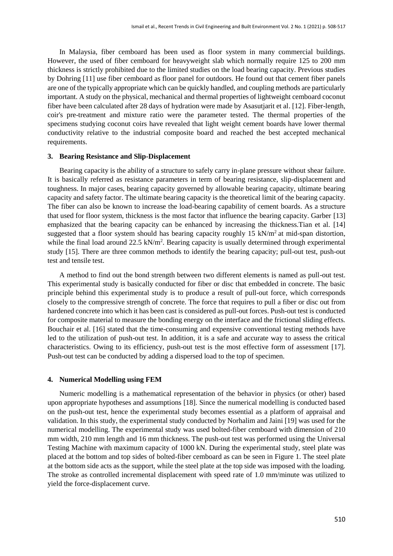In Malaysia, fiber cemboard has been used as floor system in many commercial buildings. However, the used of fiber cemboard for heavyweight slab which normally require 125 to 200 mm thickness is strictly prohibited due to the limited studies on the load bearing capacity. Previous studies by Dohring [11] use fiber cemboard as floor panel for outdoors. He found out that cement fiber panels are one of the typically appropriate which can be quickly handled, and coupling methods are particularly important. A study on the physical, mechanical and thermal properties of lightweight cemboard coconut fiber have been calculated after 28 days of hydration were made by Asasutjarit et al. [12]. Fiber-length, coir's pre-treatment and mixture ratio were the parameter tested. The thermal properties of the specimens studying coconut coirs have revealed that light weight cement boards have lower thermal conductivity relative to the industrial composite board and reached the best accepted mechanical requirements.

#### **3. Bearing Resistance and Slip-Displacement**

Bearing capacity is the ability of a structure to safely carry in-plane pressure without shear failure. It is basically referred as resistance parameters in term of bearing resistance, slip-displacement and toughness. In major cases, bearing capacity governed by allowable bearing capacity, ultimate bearing capacity and safety factor. The ultimate bearing capacity is the theoretical limit of the bearing capacity. The fiber can also be known to increase the load-bearing capability of cement boards. As a structure that used for floor system, thickness is the most factor that influence the bearing capacity. Garber [13] emphasized that the bearing capacity can be enhanced by increasing the thickness.Tian et al. [14] suggested that a floor system should has bearing capacity roughly  $15 \text{ kN/m}^2$  at mid-span distortion, while the final load around  $22.5 \text{ kN/m}^2$ . Bearing capacity is usually determined through experimental study [15]. There are three common methods to identify the bearing capacity; pull-out test, push-out test and tensile test.

A method to find out the bond strength between two different elements is named as pull-out test. This experimental study is basically conducted for fiber or disc that embedded in concrete. The basic principle behind this experimental study is to produce a result of pull-out force, which corresponds closely to the compressive strength of concrete. The force that requires to pull a fiber or disc out from hardened concrete into which it has been cast is considered as pull-out forces. Push-out test is conducted for composite material to measure the bonding energy on the interface and the frictional sliding effects. Bouchair et al. [16] stated that the time-consuming and expensive conventional testing methods have led to the utilization of push-out test. In addition, it is a safe and accurate way to assess the critical characteristics. Owing to its efficiency, push-out test is the most effective form of assessment [17]. Push-out test can be conducted by adding a dispersed load to the top of specimen.

#### **4. Numerical Modelling using FEM**

Numeric modelling is a mathematical representation of the behavior in physics (or other) based upon appropriate hypotheses and assumptions [18]. Since the numerical modelling is conducted based on the push-out test, hence the experimental study becomes essential as a platform of appraisal and validation. In this study, the experimental study conducted by Norhalim and Jaini [19] was used for the numerical modelling. The experimental study was used bolted-fiber cemboard with dimension of 210 mm width, 210 mm length and 16 mm thickness. The push-out test was performed using the Universal Testing Machine with maximum capacity of 1000 kN. During the experimental study, steel plate was placed at the bottom and top sides of bolted-fiber cemboard as can be seen in Figure 1. The steel plate at the bottom side acts as the support, while the steel plate at the top side was imposed with the loading. The stroke as controlled incremental displacement with speed rate of 1.0 mm/minute was utilized to yield the force-displacement curve.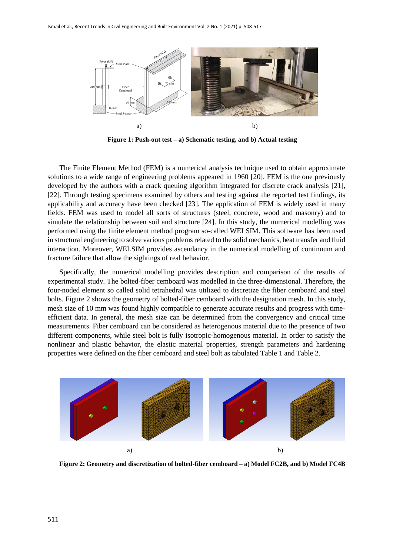

**Figure 1: Push-out test – a) Schematic testing, and b) Actual testing**

The Finite Element Method (FEM) is a numerical analysis technique used to obtain approximate solutions to a wide range of engineering problems appeared in 1960 [20]. FEM is the one previously developed by the authors with a crack queuing algorithm integrated for discrete crack analysis [21], [22]. Through testing specimens examined by others and testing against the reported test findings, its applicability and accuracy have been checked [23]. The application of FEM is widely used in many fields. FEM was used to model all sorts of structures (steel, concrete, wood and masonry) and to simulate the relationship between soil and structure [24]. In this study, the numerical modelling was performed using the finite element method program so-called WELSIM. This software has been used in structural engineering to solve various problems related to the solid mechanics, heat transfer and fluid interaction. Moreover, WELSIM provides ascendancy in the numerical modelling of continuum and fracture failure that allow the sightings of real behavior.

Specifically, the numerical modelling provides description and comparison of the results of experimental study. The bolted-fiber cemboard was modelled in the three-dimensional. Therefore, the four-noded element so called solid tetrahedral was utilized to discretize the fiber cemboard and steel bolts. Figure 2 shows the geometry of bolted-fiber cemboard with the designation mesh. In this study, mesh size of 10 mm was found highly compatible to generate accurate results and progress with timeefficient data. In general, the mesh size can be determined from the convergency and critical time measurements. Fiber cemboard can be considered as heterogenous material due to the presence of two different components, while steel bolt is fully isotropic-homogenous material. In order to satisfy the nonlinear and plastic behavior, the elastic material properties, strength parameters and hardening properties were defined on the fiber cemboard and steel bolt as tabulated Table 1 and Table 2.



**Figure 2: Geometry and discretization of bolted-fiber cemboard – a) Model FC2B, and b) Model FC4B**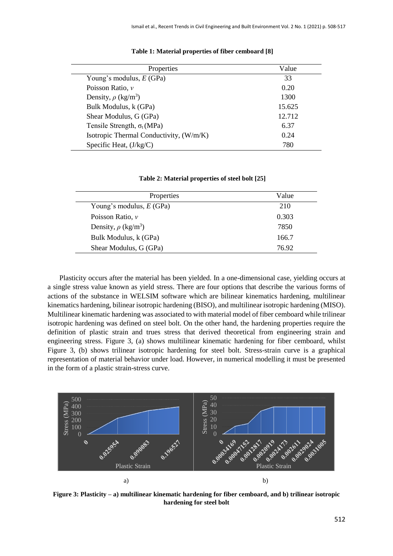| Properties                              | Value  |
|-----------------------------------------|--------|
| Young's modulus, $E(GPa)$               | 33     |
| Poisson Ratio, v                        | 0.20   |
| Density, $\rho$ (kg/m <sup>3</sup> )    | 1300   |
| Bulk Modulus, k (GPa)                   | 15.625 |
| Shear Modulus, G (GPa)                  | 12.712 |
| Tensile Strength, $\sigma_t(MPa)$       | 6.37   |
| Isotropic Thermal Conductivity, (W/m/K) | 0.24   |
| Specific Heat, (J/kg/C)                 | 780    |

#### **Table 1: Material properties of fiber cemboard [8]**

#### **Table 2: Material properties of steel bolt [25]**

| Properties                           | Value |
|--------------------------------------|-------|
| Young's modulus, $E(GPa)$            | 210   |
| Poisson Ratio, $\nu$                 | 0.303 |
| Density, $\rho$ (kg/m <sup>3</sup> ) | 7850  |
| Bulk Modulus, k (GPa)                | 166.7 |
| Shear Modulus, G (GPa)               | 76.92 |

Plasticity occurs after the material has been yielded. In a one-dimensional case, yielding occurs at a single stress value known as yield stress. There are four options that describe the various forms of actions of the substance in WELSIM software which are bilinear kinematics hardening, multilinear kinematics hardening, bilinear isotropic hardening (BISO), and multilinear isotropic hardening (MISO). Multilinear kinematic hardening was associated to with material model of fiber cemboard while trilinear isotropic hardening was defined on steel bolt. On the other hand, the hardening properties require the definition of plastic strain and trues stress that derived theoretical from engineering strain and engineering stress. Figure 3, (a) shows multilinear kinematic hardening for fiber cemboard, whilst Figure 3, (b) shows trilinear isotropic hardening for steel bolt. Stress-strain curve is a graphical representation of material behavior under load. However, in numerical modelling it must be presented in the form of a plastic strain-stress curve.



**Figure 3: Plasticity – a) multilinear kinematic hardening for fiber cemboard, and b) trilinear isotropic hardening for steel bolt**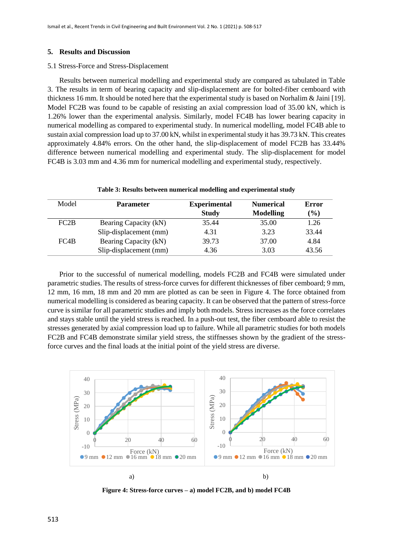#### **5. Results and Discussion**

#### 5.1 Stress-Force and Stress-Displacement

Results between numerical modelling and experimental study are compared as tabulated in Table 3. The results in term of bearing capacity and slip-displacement are for bolted-fiber cemboard with thickness 16 mm. It should be noted here that the experimental study is based on Norhalim & Jaini [19]. Model FC2B was found to be capable of resisting an axial compression load of 35.00 kN, which is 1.26% lower than the experimental analysis. Similarly, model FC4B has lower bearing capacity in numerical modelling as compared to experimental study. In numerical modelling, model FC4B able to sustain axial compression load up to 37.00 kN, whilst in experimental study it has 39.73 kN. This creates approximately 4.84% errors. On the other hand, the slip-displacement of model FC2B has 33.44% difference between numerical modelling and experimental study. The slip-displacement for model FC4B is 3.03 mm and 4.36 mm for numerical modelling and experimental study, respectively.

| Model | <b>Parameter</b>       | <b>Experimental</b><br><b>Study</b> | <b>Numerical</b><br><b>Modelling</b> | Error<br>$(\%)$ |
|-------|------------------------|-------------------------------------|--------------------------------------|-----------------|
| FC2B  | Bearing Capacity (kN)  | 35.44                               | 35.00                                | 1.26            |
|       | Slip-displacement (mm) | 4.31                                | 3.23                                 | 33.44           |
| FC4B  | Bearing Capacity (kN)  | 39.73                               | 37.00                                | 4.84            |
|       | Slip-displacement (mm) | 4.36                                | 3.03                                 | 43.56           |

**Table 3: Results between numerical modelling and experimental study**

Prior to the successful of numerical modelling, models FC2B and FC4B were simulated under parametric studies. The results of stress-force curves for different thicknesses of fiber cemboard; 9 mm, 12 mm, 16 mm, 18 mm and 20 mm are plotted as can be seen in Figure 4. The force obtained from numerical modelling is considered as bearing capacity. It can be observed that the pattern of stress-force curve is similar for all parametric studies and imply both models. Stress increases as the force correlates and stays stable until the yield stress is reached. In a push-out test, the fiber cemboard able to resist the stresses generated by axial compression load up to failure. While all parametric studies for both models FC2B and FC4B demonstrate similar yield stress, the stiffnesses shown by the gradient of the stressforce curves and the final loads at the initial point of the yield stress are diverse.



**Figure 4: Stress-force curves – a) model FC2B, and b) model FC4B**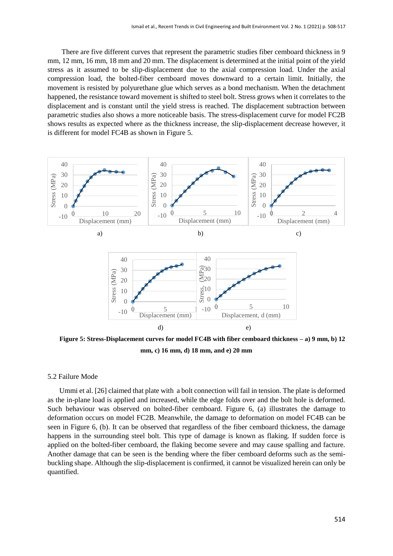There are five different curves that represent the parametric studies fiber cemboard thickness in 9 mm, 12 mm, 16 mm, 18 mm and 20 mm. The displacement is determined at the initial point of the yield stress as it assumed to be slip-displacement due to the axial compression load. Under the axial compression load, the bolted-fiber cemboard moves downward to a certain limit. Initially, the movement is resisted by polyurethane glue which serves as a bond mechanism. When the detachment happened, the resistance toward movement is shifted to steel bolt. Stress grows when it correlates to the displacement and is constant until the yield stress is reached. The displacement subtraction between parametric studies also shows a more noticeable basis. The stress-displacement curve for model FC2B shows results as expected where as the thickness increase, the slip-displacement decrease however, it is different for model FC4B as shown in Figure 5.



**Figure 5: Stress-Displacement curves for model FC4B with fiber cemboard thickness – a) 9 mm, b) 12 mm, c) 16 mm, d) 18 mm, and e) 20 mm**

#### 5.2 Failure Mode

Ummi et al. [26] claimed that plate with a bolt connection will fail in tension. The plate is deformed as the in-plane load is applied and increased, while the edge folds over and the bolt hole is deformed. Such behaviour was observed on bolted-fiber cemboard. Figure 6, (a) illustrates the damage to deformation occurs on model FC2B. Meanwhile, the damage to deformation on model FC4B can be seen in Figure 6, (b). It can be observed that regardless of the fiber cemboard thickness, the damage happens in the surrounding steel bolt. This type of damage is known as flaking. If sudden force is applied on the bolted-fiber cemboard, the flaking become severe and may cause spalling and facture. Another damage that can be seen is the bending where the fiber cemboard deforms such as the semibuckling shape. Although the slip-displacement is confirmed, it cannot be visualized herein can only be quantified.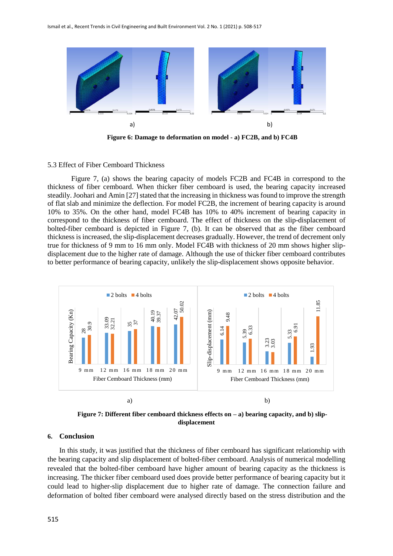

**Figure 6: Damage to deformation on model - a) FC2B, and b) FC4B**

#### 5.3 Effect of Fiber Cemboard Thickness

Figure 7, (a) shows the bearing capacity of models FC2B and FC4B in correspond to the thickness of fiber cemboard. When thicker fiber cemboard is used, the bearing capacity increased steadily. Joohari and Amin [27] stated that the increasing in thickness was found to improve the strength of flat slab and minimize the deflection. For model FC2B, the increment of bearing capacity is around 10% to 35%. On the other hand, model FC4B has 10% to 40% increment of bearing capacity in correspond to the thickness of fiber cemboard. The effect of thickness on the slip-displacement of bolted-fiber cemboard is depicted in Figure 7, (b). It can be observed that as the fiber cemboard thickness is increased, the slip-displacement decreases gradually. However, the trend of decrement only true for thickness of 9 mm to 16 mm only. Model FC4B with thickness of 20 mm shows higher slipdisplacement due to the higher rate of damage. Although the use of thicker fiber cemboard contributes to better performance of bearing capacity, unlikely the slip-displacement shows opposite behavior.



**Figure 7: Different fiber cemboard thickness effects on – a) bearing capacity, and b) slipdisplacement**

#### **6. Conclusion**

In this study, it was justified that the thickness of fiber cemboard has significant relationship with the bearing capacity and slip displacement of bolted-fiber cemboard. Analysis of numerical modelling revealed that the bolted-fiber cemboard have higher amount of bearing capacity as the thickness is increasing. The thicker fiber cemboard used does provide better performance of bearing capacity but it could lead to higher-slip displacement due to higher rate of damage. The connection failure and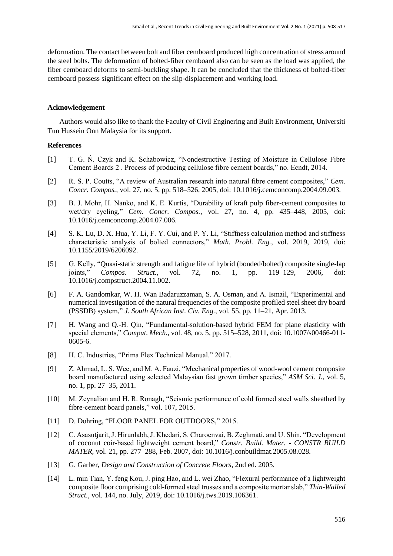deformation. The contact between bolt and fiber cemboard produced high concentration of stress around the steel bolts. The deformation of bolted-fiber cemboard also can be seen as the load was applied, the fiber cemboard deforms to semi-buckling shape. It can be concluded that the thickness of bolted-fiber cemboard possess significant effect on the slip-displacement and working load.

#### **Acknowledgement**

Authors would also like to thank the Faculty of Civil Enginering and Built Environment, Universiti Tun Hussein Onn Malaysia for its support.

#### **References**

- [1] T. G. Ń. Czyk and K. Schabowicz, "Nondestructive Testing of Moisture in Cellulose Fibre Cement Boards 2 . Process of producing cellulose fibre cement boards," no. Ecndt, 2014.
- [2] R. S. P. Coutts, "A review of Australian research into natural fibre cement composites," *Cem. Concr. Compos.*, vol. 27, no. 5, pp. 518–526, 2005, doi: 10.1016/j.cemconcomp.2004.09.003.
- [3] B. J. Mohr, H. Nanko, and K. E. Kurtis, "Durability of kraft pulp fiber-cement composites to wet/dry cycling," *Cem. Concr. Compos.*, vol. 27, no. 4, pp. 435–448, 2005, doi: 10.1016/j.cemconcomp.2004.07.006.
- [4] S. K. Lu, D. X. Hua, Y. Li, F. Y. Cui, and P. Y. Li, "Stiffness calculation method and stiffness characteristic analysis of bolted connectors," *Math. Probl. Eng.*, vol. 2019, 2019, doi: 10.1155/2019/6206092.
- [5] G. Kelly, "Quasi-static strength and fatigue life of hybrid (bonded/bolted) composite single-lap joints," *Compos. Struct.*, vol. 72, no. 1, pp. 119–129, 2006, doi: 10.1016/j.compstruct.2004.11.002.
- [6] F. A. Gandomkar, W. H. Wan Badaruzzaman, S. A. Osman, and A. Ismail, "Experimental and numerical investigation of the natural frequencies of the composite profiled steel sheet dry board (PSSDB) system," *J. South African Inst. Civ. Eng.*, vol. 55, pp. 11–21, Apr. 2013.
- [7] H. Wang and Q.-H. Qin, "Fundamental-solution-based hybrid FEM for plane elasticity with special elements," *Comput. Mech.*, vol. 48, no. 5, pp. 515–528, 2011, doi: 10.1007/s00466-011- 0605-6.
- [8] H. C. Industries, "Prima Flex Technical Manual." 2017.
- [9] Z. Ahmad, L. S. Wee, and M. A. Fauzi, "Mechanical properties of wood-wool cement composite board manufactured using selected Malaysian fast grown timber species," *ASM Sci. J.*, vol. 5, no. 1, pp. 27–35, 2011.
- [10] M. Zeynalian and H. R. Ronagh, "Seismic performance of cold formed steel walls sheathed by fibre-cement board panels," vol. 107, 2015.
- [11] D. Dohring, "FLOOR PANEL FOR OUTDOORS," 2015.
- [12] C. Asasutjarit, J. Hirunlabh, J. Khedari, S. Charoenvai, B. Zeghmati, and U. Shin, "Development of coconut coir-based lightweight cement board," *Constr. Build. Mater. - CONSTR BUILD MATER*, vol. 21, pp. 277–288, Feb. 2007, doi: 10.1016/j.conbuildmat.2005.08.028.
- [13] G. Garber, *Design and Construction of Concrete Floors*, 2nd ed. 2005.
- [14] L. min Tian, Y. feng Kou, J. ping Hao, and L. wei Zhao, "Flexural performance of a lightweight composite floor comprising cold-formed steel trusses and a composite mortar slab," *Thin-Walled Struct.*, vol. 144, no. July, 2019, doi: 10.1016/j.tws.2019.106361.